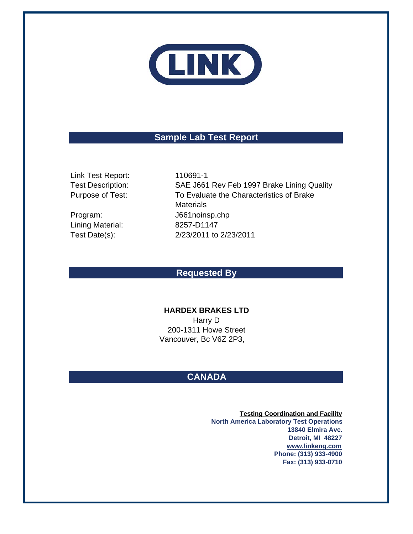

# **Sample Lab Test Report**

Link Test Report: 110691-1 Test Description: Purpose of Test:

Lining Material:

Program: J661noinsp.chp Test Date(s): 2/23/2011 to 2/23/2011 SAE J661 Rev Feb 1997 Brake Lining Quality 8257-D1147 To Evaluate the Characteristics of Brake **Materials** 

## **Requested By**

### **HARDEX BRAKES LTD**

Vancouver, Bc V6Z 2P3, Harry D 200-1311 Howe Street

# **CANADA**

**Testing Coordination and Facility North America Laboratory Test Operations 13840 Elmira Ave. Detroit, MI 48227 www.linkeng.com Phone: (313) 933-4900 Fax: (313) 933-0710**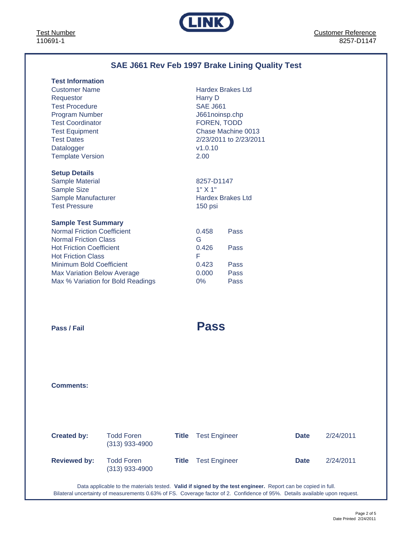Test Number 110691-1



# **SAE J661 Rev Feb 1997 Brake Lining Quality Test**

| <b>Test Information</b>            |                          |                        |
|------------------------------------|--------------------------|------------------------|
| <b>Customer Name</b>               | <b>Hardex Brakes Ltd</b> |                        |
| Requestor                          | Harry D                  |                        |
| <b>Test Procedure</b>              | <b>SAE J661</b>          |                        |
| <b>Program Number</b>              | J661noinsp.chp           |                        |
| <b>Test Coordinator</b>            | FOREN, TODD              |                        |
| <b>Test Equipment</b>              |                          | Chase Machine 0013     |
| <b>Test Dates</b>                  |                          | 2/23/2011 to 2/23/2011 |
| Datalogger                         | v1.0.10                  |                        |
| <b>Template Version</b>            | 2.00                     |                        |
|                                    |                          |                        |
| <b>Setup Details</b>               |                          |                        |
| <b>Sample Material</b>             | 8257-D1147               |                        |
| <b>Sample Size</b>                 | 1" X 1"                  |                        |
| Sample Manufacturer                | <b>Hardex Brakes Ltd</b> |                        |
| <b>Test Pressure</b>               | 150 psi                  |                        |
|                                    |                          |                        |
|                                    |                          |                        |
| <b>Sample Test Summary</b>         |                          |                        |
| <b>Normal Friction Coefficient</b> | 0.458                    | Pass                   |
| <b>Normal Friction Class</b>       | G                        |                        |
| <b>Hot Friction Coefficient</b>    | 0.426                    | Pass                   |
| <b>Hot Friction Class</b>          | F                        |                        |
| <b>Minimum Bold Coefficient</b>    | 0.423                    | Pass                   |
| <b>Max Variation Below Average</b> | 0.000                    | Pass                   |
| Max % Variation for Bold Readings  | $0\%$                    | Pass                   |
|                                    |                          |                        |
|                                    |                          |                        |
|                                    |                          |                        |
|                                    |                          |                        |
| Pass / Fail                        | <b>Pass</b>              |                        |
|                                    |                          |                        |

**Comments:**

| <b>Created by:</b>  | <b>Todd Foren</b><br>$(313)$ 933-4900 | Title | <b>Test Engineer</b> | <b>Date</b> | 2/24/2011 |
|---------------------|---------------------------------------|-------|----------------------|-------------|-----------|
| <b>Reviewed by:</b> | <b>Todd Foren</b><br>$(313)$ 933-4900 | Title | <b>Test Engineer</b> | <b>Date</b> | 2/24/2011 |

Data applicable to the materials tested. **Valid if signed by the test engineer.** Report can be copied in full. Bilateral uncertainty of measurements 0.63% of FS. Coverage factor of 2. Confidence of 95%. Details available upon request.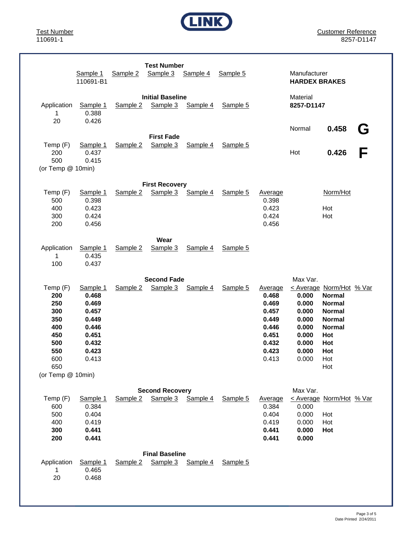

Customer Reference 8257-D1147

|                                                                                | Sample 1<br>110691-B1                                                                     | Sample 2            | <b>Test Number</b><br>Sample 3      | Sample 4 | Sample 5 |                                                                                          | Manufacturer<br><b>HARDEX BRAKES</b>                                                      |                                                                                                                                                  |        |
|--------------------------------------------------------------------------------|-------------------------------------------------------------------------------------------|---------------------|-------------------------------------|----------|----------|------------------------------------------------------------------------------------------|-------------------------------------------------------------------------------------------|--------------------------------------------------------------------------------------------------------------------------------------------------|--------|
| Application<br>1<br>20                                                         | Sample 1<br>0.388<br>0.426                                                                | Sample 2            | <b>Initial Baseline</b><br>Sample 3 | Sample 4 | Sample 5 |                                                                                          | Material<br>8257-D1147                                                                    |                                                                                                                                                  |        |
| Temp (F)<br>200<br>500<br>(or Temp @ 10min)                                    | Sample 1<br>0.437<br>0.415                                                                | Sample 2            | <b>First Fade</b><br>Sample 3       | Sample 4 | Sample 5 |                                                                                          | Normal<br>Hot                                                                             | 0.458<br>0.426                                                                                                                                   | G<br>F |
| Temp (F)<br>500<br>400<br>300<br>200                                           | Sample 1<br>0.398<br>0.423<br>0.424<br>0.456                                              | Sample 2            | <b>First Recovery</b><br>Sample 3   | Sample 4 | Sample 5 | Average<br>0.398<br>0.423<br>0.424<br>0.456                                              |                                                                                           | Norm/Hot<br>Hot<br>Hot                                                                                                                           |        |
| Application<br>1<br>100                                                        | Sample 1<br>0.435<br>0.437                                                                | Sample 2            | Wear<br>Sample 3                    | Sample 4 | Sample 5 |                                                                                          |                                                                                           |                                                                                                                                                  |        |
| Temp (F)<br>200<br>250<br>300<br>350<br>400<br>450<br>500<br>550<br>600<br>650 | Sample 1<br>0.468<br>0.469<br>0.457<br>0.449<br>0.446<br>0.451<br>0.432<br>0.423<br>0.413 | Sample <sub>2</sub> | <b>Second Fade</b><br>Sample 3      | Sample 4 | Sample 5 | Average<br>0.468<br>0.469<br>0.457<br>0.449<br>0.446<br>0.451<br>0.432<br>0.423<br>0.413 | Max Var.<br>0.000<br>0.000<br>0.000<br>0.000<br>0.000<br>0.000<br>0.000<br>0.000<br>0.000 | < Average Norm/Hot % Var<br><b>Normal</b><br><b>Normal</b><br><b>Normal</b><br><b>Normal</b><br><b>Normal</b><br>Hot<br>Hot<br>Hot<br>Hot<br>Hot |        |
| (or Temp @ 10min)<br>Temp (F)<br>600<br>500<br>400<br>300<br>200               | Sample 1<br>0.384<br>0.404<br>0.419<br>0.441<br>0.441                                     | Sample 2            | <b>Second Recovery</b><br>Sample 3  | Sample 4 | Sample 5 | Average<br>0.384<br>0.404<br>0.419<br>0.441<br>0.441                                     | Max Var.<br>0.000<br>0.000<br>0.000<br>0.000<br>0.000                                     | < Average Norm/Hot % Var<br>Hot<br>Hot<br>Hot                                                                                                    |        |
| Application<br>1<br>20                                                         | Sample 1<br>0.465<br>0.468                                                                | Sample 2            | <b>Final Baseline</b><br>Sample 3   | Sample 4 | Sample 5 |                                                                                          |                                                                                           |                                                                                                                                                  |        |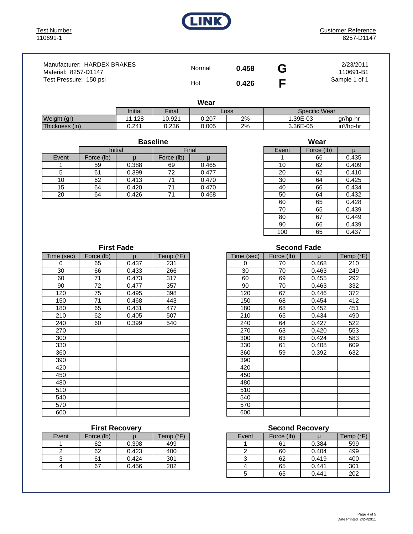

| Manufacturer: HARDEX BRAKES<br>Material: 8257-D1147 | Normal | 0.458 | G | 2/23/2011<br>110691-B1 |
|-----------------------------------------------------|--------|-------|---|------------------------|
| Test Pressure: 150 psi                              | Hot    | 0.426 |   | Sample 1 of 1          |

**Wear**

| .              |         |                    |       |    |               |             |  |  |  |
|----------------|---------|--------------------|-------|----|---------------|-------------|--|--|--|
|                | Initial | Final <sub>1</sub> | Loss  |    | Specific Wear |             |  |  |  |
| Weight (gr)    | .128    | 10.921             | J.207 | 2% | .39E-03       | ar/hp-hr    |  |  |  |
| Thickness (in) | 0.241   | 0.236              | 0.005 | 2% | 3.36E-05      | $in3/hp-hr$ |  |  |  |

Event Force (lb) | u Force (lb) | u **Baseline** Initial | Final

| ---- | $\sim$ |       | $\sim$ |       |    | $\checkmark$ |       |
|------|--------|-------|--------|-------|----|--------------|-------|
|      | 59     | 0.388 | 69     | 0.465 | 10 | 62           | 0.409 |
|      | 61     | 0.399 | 70     | 0.477 | 20 | 62           | 0.410 |
| 10   | 62     | 0.413 | ⇁      | 0.470 | 30 | 64           | 0.425 |
| 15   | 64     | 0.420 | –      | 0.470 | 40 | 66           | 0.434 |
| 20   | 64     | 0.426 | - 1    | 0.468 | 50 | 64           | 0.432 |

| Wear  |            |       |  |  |  |  |  |  |
|-------|------------|-------|--|--|--|--|--|--|
| Event | Force (lb) | u     |  |  |  |  |  |  |
|       | 66         | 0.435 |  |  |  |  |  |  |
| 10    | 62         | 0.409 |  |  |  |  |  |  |
| 20    | 62         | 0.410 |  |  |  |  |  |  |
| 30    | 64         | 0.425 |  |  |  |  |  |  |
| 40    | 66         | 0.434 |  |  |  |  |  |  |
| 50    | 64         | 0.432 |  |  |  |  |  |  |
| 60    | 65         | 0.428 |  |  |  |  |  |  |
| 70    | 65         | 0.439 |  |  |  |  |  |  |
| 80    | 67         | 0.449 |  |  |  |  |  |  |
| 90    | 66         | 0.439 |  |  |  |  |  |  |
| 100   | 65         | 0.437 |  |  |  |  |  |  |

| Time (sec) | Force (lb) | μ     | Temp (°F) | Time (s |
|------------|------------|-------|-----------|---------|
| 0          | 65         | 0.437 | 231       | 0       |
| 30         | 66         | 0.433 | 266       | 30      |
| 60         | 71         | 0.473 | 317       | 60      |
| 90         | 72         | 0.477 | 357       | 90      |
| 120        | 75         | 0.495 | 398       | 120     |
| 150        | 71         | 0.468 | 443       | 150     |
| 180        | 65         | 0.431 | 477       | 180     |
| 210        | 62         | 0.405 | 507       | 210     |
| 240        | 60         | 0.399 | 540       | 240     |
| 270        |            |       |           | 270     |
| 300        |            |       |           | 300     |
| 330        |            |       |           | 330     |
| 360        |            |       |           | 360     |
| 390        |            |       |           | 390     |
| 420        |            |       |           | 420     |
| 450        |            |       |           | 450     |
| 480        |            |       |           | 480     |
| 510        |            |       |           | 510     |
| 540        |            |       |           | 540     |
| 570        |            |       |           | 570     |
| 600        |            |       |           | 600     |

| Event | Force (lb) |       | Temp (°F) |
|-------|------------|-------|-----------|
|       | 62         | 0.398 | 499       |
|       | 62         | 0.423 |           |
|       | 61         | 0.424 | 301       |
|       |            | 0.456 | つへつ       |

#### **Second Fade**

| Time (sec) | Force (lb) | $\mu$ | Temp $(^{\circ}F)$ |
|------------|------------|-------|--------------------|
| 0          | 65         | 0.437 | 231                |
| 30         | 66         | 0.433 | 266                |
| 60         | 71         | 0.473 | 317                |
| 90         | 72         | 0.477 | 357                |
| 120        | 75         | 0.495 | 398                |
| 150        | 71         | 0.468 | 443                |
| 180        | 65         | 0.431 | 477                |
| 210        | 62         | 0.405 | 507                |
| 240        | 60         | 0.399 | 540                |
| 270        |            |       |                    |
| 300        |            |       |                    |
| 330        |            |       |                    |
| 360        |            |       |                    |
| 390        |            |       |                    |
| 420        |            |       |                    |
| 450        |            |       |                    |
| 480        |            |       |                    |
| 510        |            |       |                    |
| 540        |            |       |                    |
| 570        |            |       |                    |
| 600        |            |       |                    |

#### **First Recovery Community Community Second Recovery**

| Event | Force (lb) |       | Temp (°F) | Event | Force (lb) |       | (°F)<br>Temp |
|-------|------------|-------|-----------|-------|------------|-------|--------------|
|       | 62         | 0.398 | 499       |       | 61         | 0.384 | 599          |
|       | 62         | 0.423 | 400       |       | 60         | 0.404 | 499          |
|       | 61         | 0.424 | 301       |       | 62         | 0.419 | 400          |
|       | 67         | 0.456 | 202       |       | 65         | 0.441 | 301          |
|       |            |       |           |       | 65         | 0.441 | 202          |